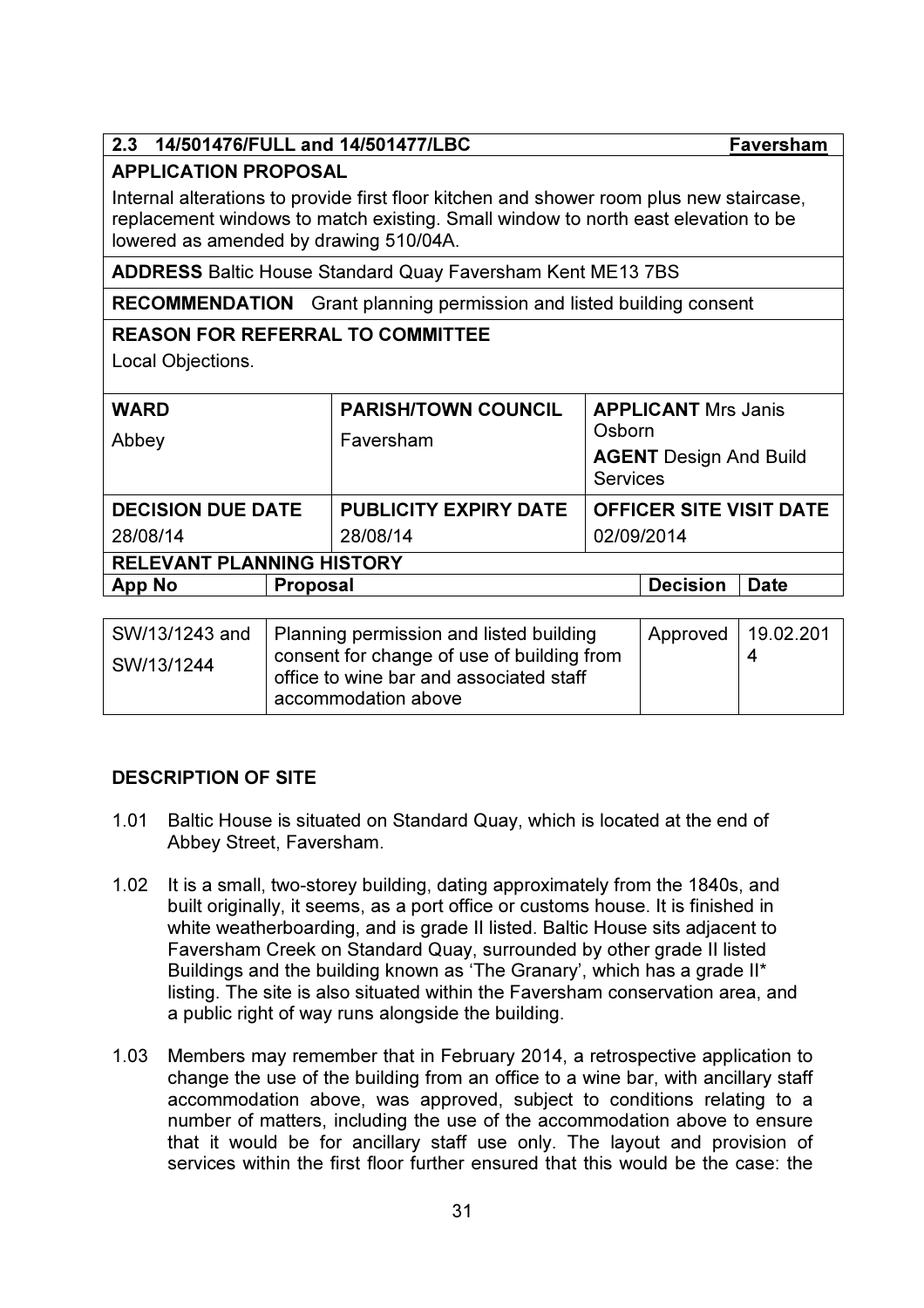# 2.3 14/501476/FULL and 14/501477/LBC Faversham

## APPLICATION PROPOSAL

Internal alterations to provide first floor kitchen and shower room plus new staircase, replacement windows to match existing. Small window to north east elevation to be lowered as amended by drawing 510/04A.

ADDRESS Baltic House Standard Quay Faversham Kent ME13 7BS

RECOMMENDATION Grant planning permission and listed building consent

## REASON FOR REFERRAL TO COMMITTEE

Local Objections.

| <b>WARD</b><br>Abbey             | <b>PARISH/TOWN COUNCIL</b><br>Faversham | <b>APPLICANT Mrs Janis</b><br>Osborn<br><b>AGENT</b> Design And Build<br><b>Services</b> |  |  |
|----------------------------------|-----------------------------------------|------------------------------------------------------------------------------------------|--|--|
| <b>DECISION DUE DATE</b>         | <b>PUBLICITY EXPIRY DATE</b>            | <b>OFFICER SITE VISIT DATE</b>                                                           |  |  |
| 28/08/14                         | 28/08/14                                | 02/09/2014                                                                               |  |  |
| <b>RELEVANT PLANNING HISTORY</b> |                                         |                                                                                          |  |  |
| <b>App No</b><br>Proposal        |                                         | <b>Decision</b><br><b>Date</b>                                                           |  |  |

| SW/13/1243 and | Planning permission and listed building                                               | Approved   19.02.201 |  |
|----------------|---------------------------------------------------------------------------------------|----------------------|--|
| SW/13/1244     | consent for change of use of building from<br>office to wine bar and associated staff |                      |  |
|                | accommodation above                                                                   |                      |  |

## DESCRIPTION OF SITE

- 1.01 Baltic House is situated on Standard Quay, which is located at the end of Abbey Street, Faversham.
- 1.02 It is a small, two-storey building, dating approximately from the 1840s, and built originally, it seems, as a port office or customs house. It is finished in white weatherboarding, and is grade II listed. Baltic House sits adjacent to Faversham Creek on Standard Quay, surrounded by other grade II listed Buildings and the building known as 'The Granary', which has a grade II\* listing. The site is also situated within the Faversham conservation area, and a public right of way runs alongside the building.
- 1.03 Members may remember that in February 2014, a retrospective application to change the use of the building from an office to a wine bar, with ancillary staff accommodation above, was approved, subject to conditions relating to a number of matters, including the use of the accommodation above to ensure that it would be for ancillary staff use only. The layout and provision of services within the first floor further ensured that this would be the case: the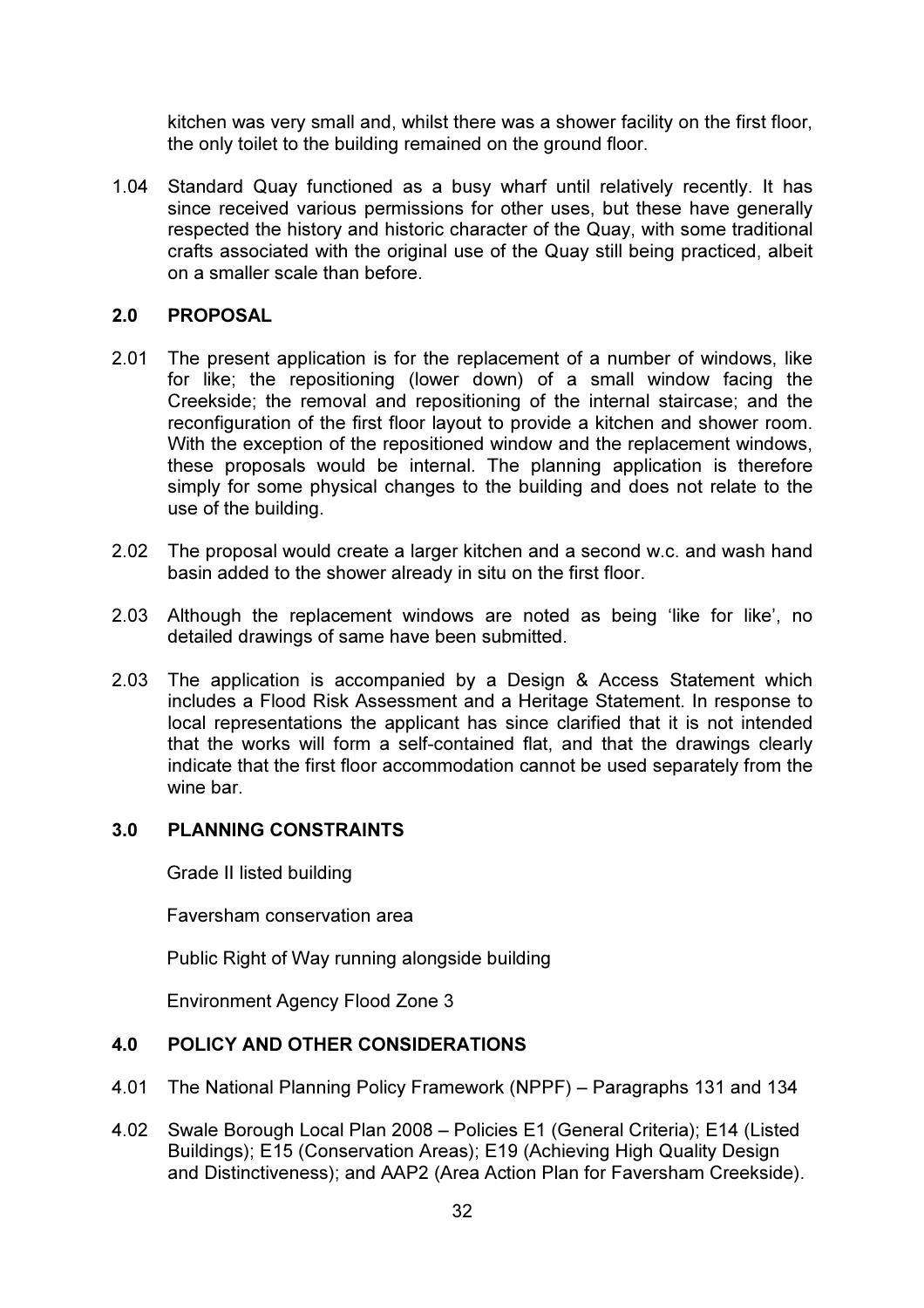kitchen was very small and, whilst there was a shower facility on the first floor, the only toilet to the building remained on the ground floor.

1.04 Standard Quay functioned as a busy wharf until relatively recently. It has since received various permissions for other uses, but these have generally respected the history and historic character of the Quay, with some traditional crafts associated with the original use of the Quay still being practiced, albeit on a smaller scale than before.

#### 2.0 PROPOSAL

- 2.01 The present application is for the replacement of a number of windows, like for like; the repositioning (lower down) of a small window facing the Creekside; the removal and repositioning of the internal staircase; and the reconfiguration of the first floor layout to provide a kitchen and shower room. With the exception of the repositioned window and the replacement windows, these proposals would be internal. The planning application is therefore simply for some physical changes to the building and does not relate to the use of the building.
- 2.02 The proposal would create a larger kitchen and a second w.c. and wash hand basin added to the shower already in situ on the first floor.
- 2.03 Although the replacement windows are noted as being 'like for like', no detailed drawings of same have been submitted.
- 2.03 The application is accompanied by a Design & Access Statement which includes a Flood Risk Assessment and a Heritage Statement. In response to local representations the applicant has since clarified that it is not intended that the works will form a self-contained flat, and that the drawings clearly indicate that the first floor accommodation cannot be used separately from the wine bar.

#### 3.0 PLANNING CONSTRAINTS

Grade II listed building

Faversham conservation area

Public Right of Way running alongside building

Environment Agency Flood Zone 3

#### 4.0 POLICY AND OTHER CONSIDERATIONS

- 4.01 The National Planning Policy Framework (NPPF) Paragraphs 131 and 134
- 4.02 Swale Borough Local Plan 2008 Policies E1 (General Criteria); E14 (Listed Buildings); E15 (Conservation Areas); E19 (Achieving High Quality Design and Distinctiveness); and AAP2 (Area Action Plan for Faversham Creekside).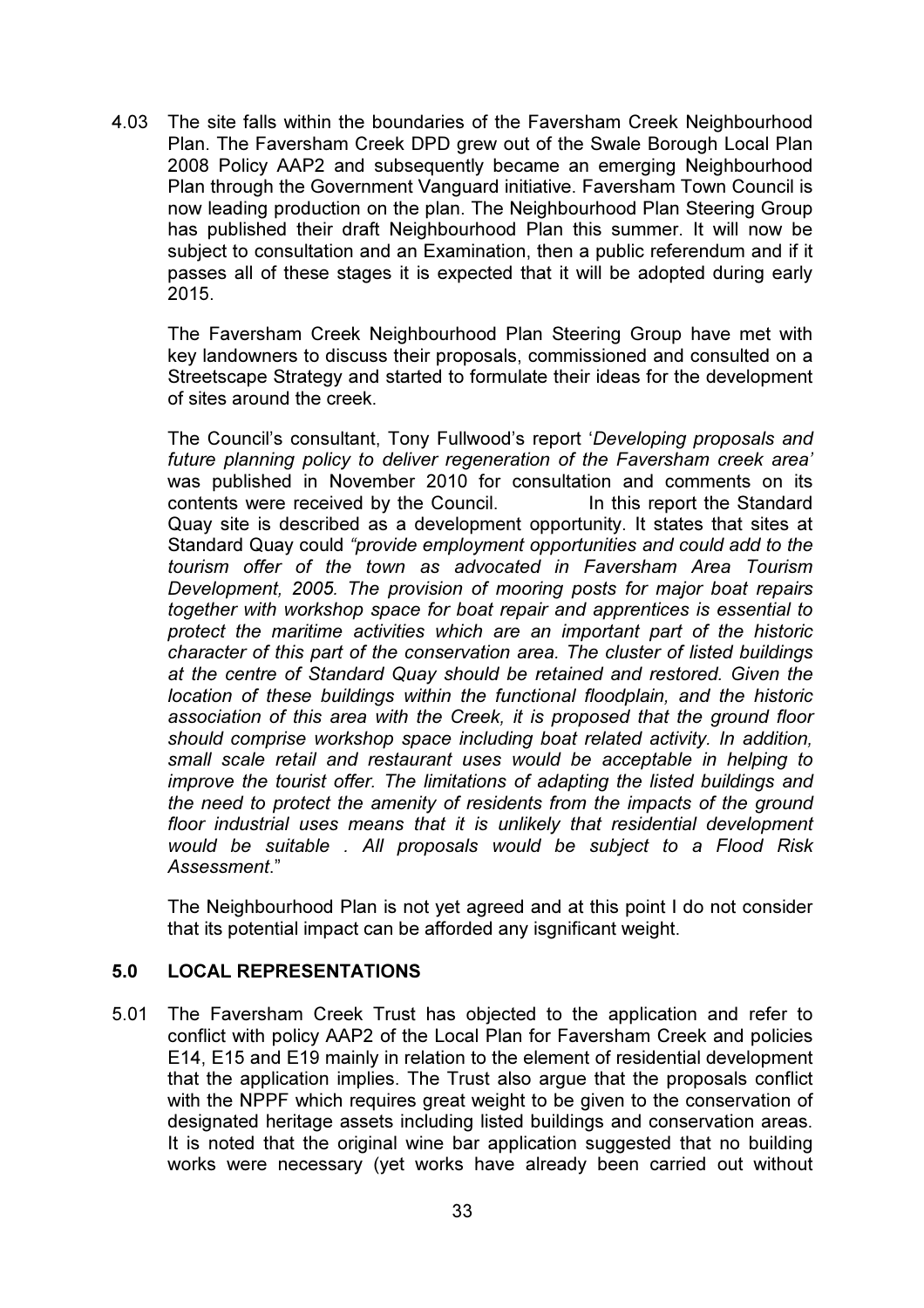4.03 The site falls within the boundaries of the Faversham Creek Neighbourhood Plan. The Faversham Creek DPD grew out of the Swale Borough Local Plan 2008 Policy AAP2 and subsequently became an emerging Neighbourhood Plan through the Government Vanguard initiative. Faversham Town Council is now leading production on the plan. The Neighbourhood Plan Steering Group has published their draft Neighbourhood Plan this summer. It will now be subject to consultation and an Examination, then a public referendum and if it passes all of these stages it is expected that it will be adopted during early 2015.

The Faversham Creek Neighbourhood Plan Steering Group have met with key landowners to discuss their proposals, commissioned and consulted on a Streetscape Strategy and started to formulate their ideas for the development of sites around the creek.

The Council's consultant, Tony Fullwood's report '*Developing proposals and future planning policy to deliver regeneration of the Faversham creek area'*  was published in November 2010 for consultation and comments on its contents were received by the Council. In this report the Standard Quay site is described as a development opportunity. It states that sites at Standard Quay could *"provide employment opportunities and could add to the tourism offer of the town as advocated in Faversham Area Tourism Development, 2005. The provision of mooring posts for major boat repairs together with workshop space for boat repair and apprentices is essential to protect the maritime activities which are an important part of the historic character of this part of the conservation area. The cluster of listed buildings at the centre of Standard Quay should be retained and restored. Given the location of these buildings within the functional floodplain, and the historic association of this area with the Creek, it is proposed that the ground floor should comprise workshop space including boat related activity. In addition, small scale retail and restaurant uses would be acceptable in helping to improve the tourist offer. The limitations of adapting the listed buildings and the need to protect the amenity of residents from the impacts of the ground floor industrial uses means that it is unlikely that residential development would be suitable . All proposals would be subject to a Flood Risk Assessment*."

The Neighbourhood Plan is not yet agreed and at this point I do not consider that its potential impact can be afforded any isgnificant weight.

### 5.0 LOCAL REPRESENTATIONS

5.01 The Faversham Creek Trust has objected to the application and refer to conflict with policy AAP2 of the Local Plan for Faversham Creek and policies E14, E15 and E19 mainly in relation to the element of residential development that the application implies. The Trust also argue that the proposals conflict with the NPPF which requires great weight to be given to the conservation of designated heritage assets including listed buildings and conservation areas. It is noted that the original wine bar application suggested that no building works were necessary (yet works have already been carried out without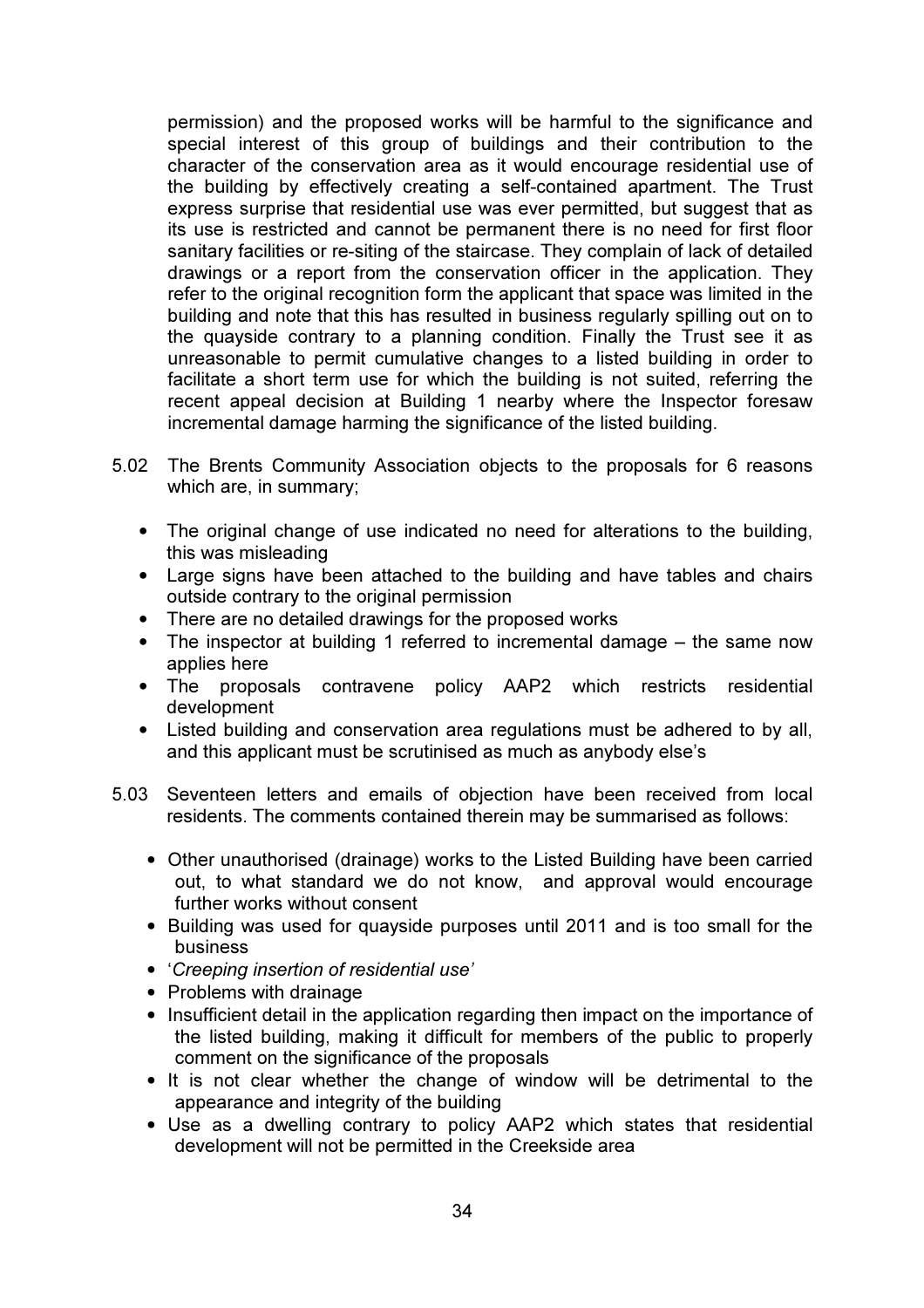permission) and the proposed works will be harmful to the significance and special interest of this group of buildings and their contribution to the character of the conservation area as it would encourage residential use of the building by effectively creating a self-contained apartment. The Trust express surprise that residential use was ever permitted, but suggest that as its use is restricted and cannot be permanent there is no need for first floor sanitary facilities or re-siting of the staircase. They complain of lack of detailed drawings or a report from the conservation officer in the application. They refer to the original recognition form the applicant that space was limited in the building and note that this has resulted in business regularly spilling out on to the quayside contrary to a planning condition. Finally the Trust see it as unreasonable to permit cumulative changes to a listed building in order to facilitate a short term use for which the building is not suited, referring the recent appeal decision at Building 1 nearby where the Inspector foresaw incremental damage harming the significance of the listed building.

- 5.02 The Brents Community Association objects to the proposals for 6 reasons which are, in summary;
	- The original change of use indicated no need for alterations to the building, this was misleading
	- Large signs have been attached to the building and have tables and chairs outside contrary to the original permission
	- There are no detailed drawings for the proposed works
	- The inspector at building 1 referred to incremental damage the same now applies here
	- The proposals contravene policy AAP2 which restricts residential development
	- Listed building and conservation area regulations must be adhered to by all, and this applicant must be scrutinised as much as anybody else's
- 5.03 Seventeen letters and emails of objection have been received from local residents. The comments contained therein may be summarised as follows:
	- Other unauthorised (drainage) works to the Listed Building have been carried out, to what standard we do not know, and approval would encourage further works without consent
	- Building was used for quayside purposes until 2011 and is too small for the business
	- '*Creeping insertion of residential use'*
	- Problems with drainage
	- Insufficient detail in the application regarding then impact on the importance of the listed building, making it difficult for members of the public to properly comment on the significance of the proposals
	- It is not clear whether the change of window will be detrimental to the appearance and integrity of the building
	- Use as a dwelling contrary to policy AAP2 which states that residential development will not be permitted in the Creekside area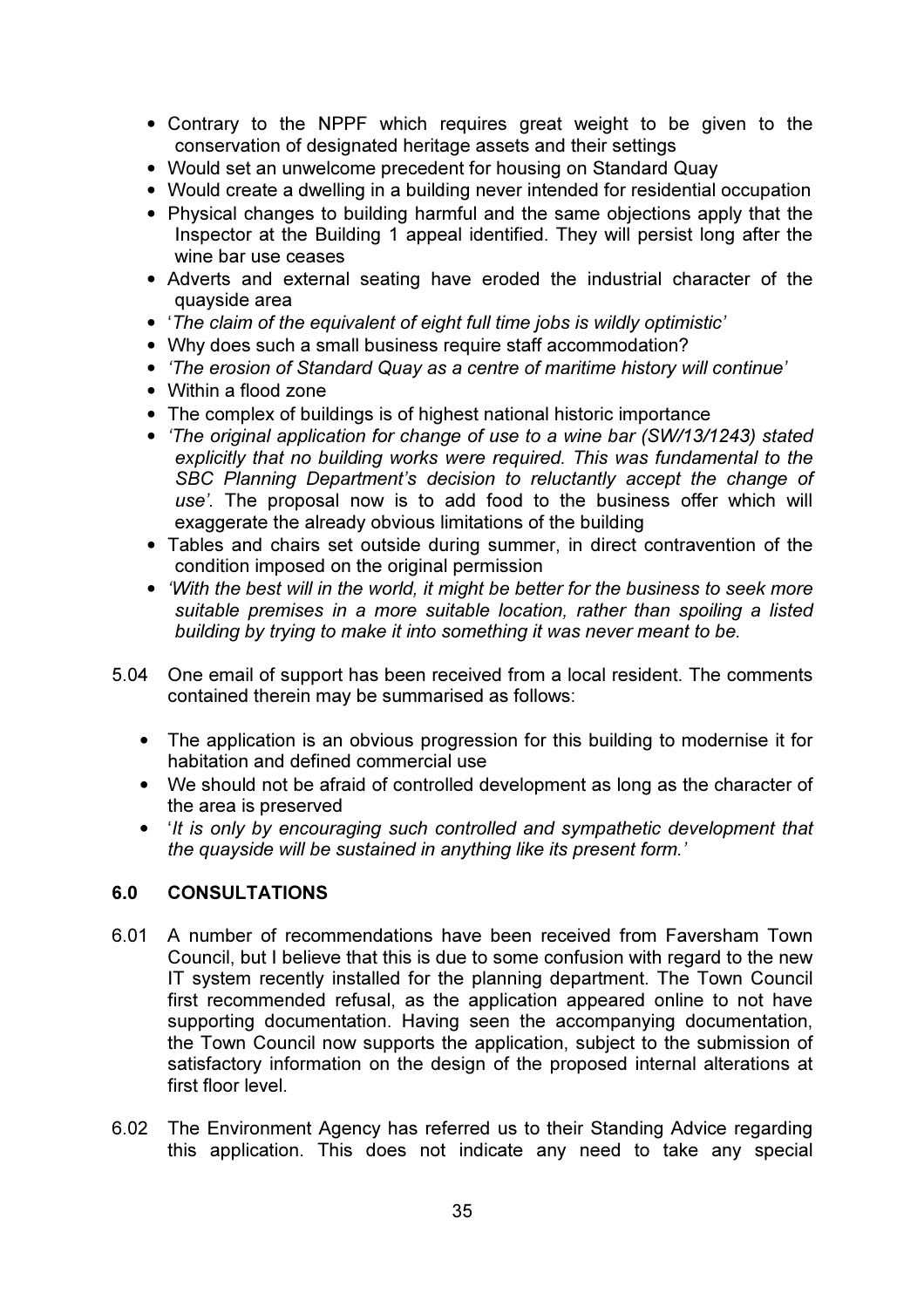- Contrary to the NPPF which requires great weight to be given to the conservation of designated heritage assets and their settings
- Would set an unwelcome precedent for housing on Standard Quay
- Would create a dwelling in a building never intended for residential occupation
- Physical changes to building harmful and the same objections apply that the Inspector at the Building 1 appeal identified. They will persist long after the wine bar use ceases
- Adverts and external seating have eroded the industrial character of the quayside area
- '*The claim of the equivalent of eight full time jobs is wildly optimistic'*
- Why does such a small business require staff accommodation?
- *'The erosion of Standard Quay as a centre of maritime history will continue'*
- Within a flood zone
- The complex of buildings is of highest national historic importance
- *'The original application for change of use to a wine bar (SW/13/1243) stated explicitly that no building works were required. This was fundamental to the SBC Planning Department's decision to reluctantly accept the change of use'.* The proposal now is to add food to the business offer which will exaggerate the already obvious limitations of the building
- Tables and chairs set outside during summer, in direct contravention of the condition imposed on the original permission
- *'With the best will in the world, it might be better for the business to seek more suitable premises in a more suitable location, rather than spoiling a listed building by trying to make it into something it was never meant to be.*
- 5.04 One email of support has been received from a local resident. The comments contained therein may be summarised as follows:
	- The application is an obvious progression for this building to modernise it for habitation and defined commercial use
	- We should not be afraid of controlled development as long as the character of the area is preserved
	- '*It is only by encouraging such controlled and sympathetic development that the quayside will be sustained in anything like its present form.'*

### 6.0 CONSULTATIONS

- 6.01 A number of recommendations have been received from Faversham Town Council, but I believe that this is due to some confusion with regard to the new IT system recently installed for the planning department. The Town Council first recommended refusal, as the application appeared online to not have supporting documentation. Having seen the accompanying documentation, the Town Council now supports the application, subject to the submission of satisfactory information on the design of the proposed internal alterations at first floor level.
- 6.02 The Environment Agency has referred us to their Standing Advice regarding this application. This does not indicate any need to take any special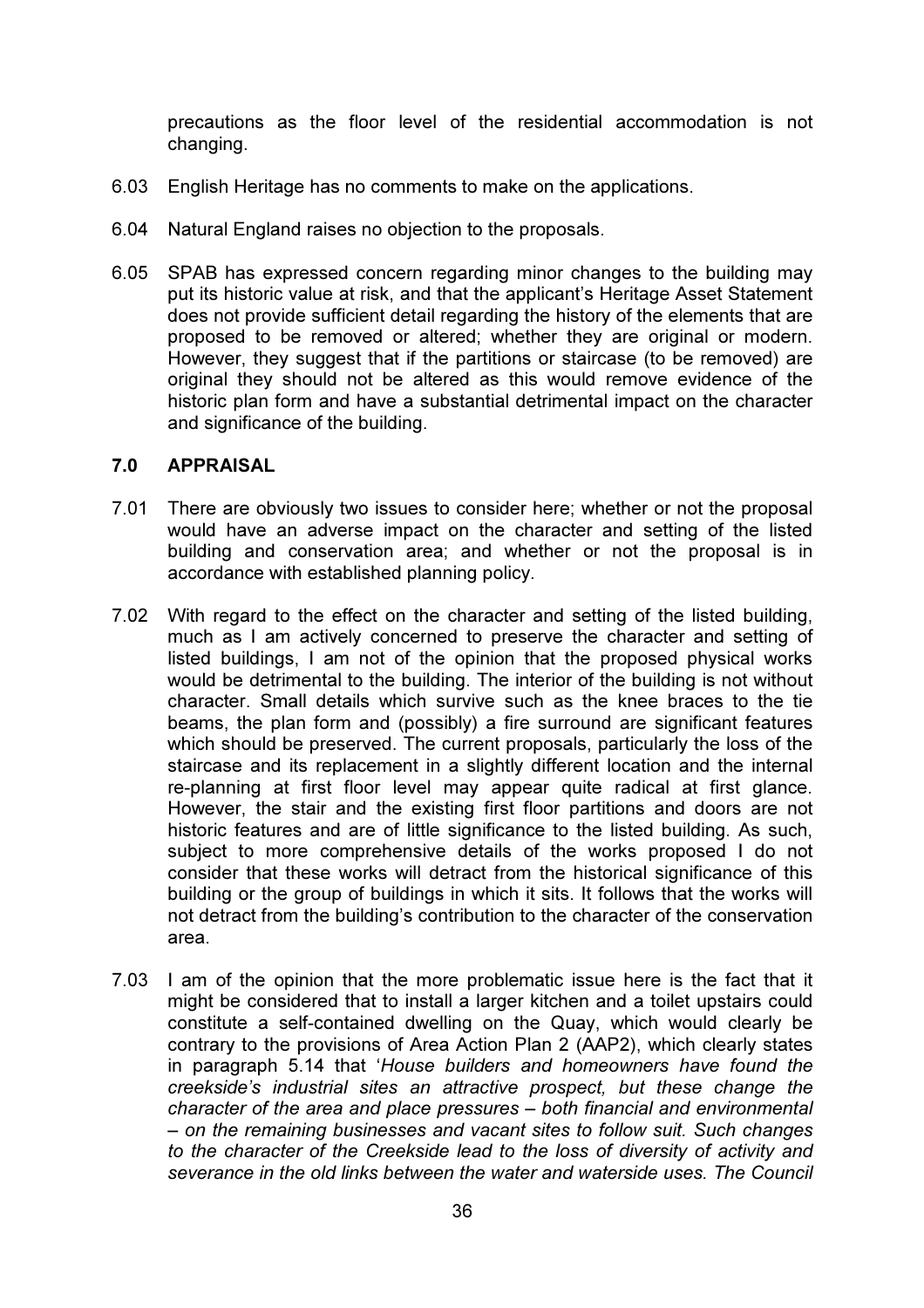precautions as the floor level of the residential accommodation is not changing.

- 6.03 English Heritage has no comments to make on the applications.
- 6.04 Natural England raises no objection to the proposals.
- 6.05 SPAB has expressed concern regarding minor changes to the building may put its historic value at risk, and that the applicant's Heritage Asset Statement does not provide sufficient detail regarding the history of the elements that are proposed to be removed or altered; whether they are original or modern. However, they suggest that if the partitions or staircase (to be removed) are original they should not be altered as this would remove evidence of the historic plan form and have a substantial detrimental impact on the character and significance of the building.

#### 7.0 APPRAISAL

- 7.01 There are obviously two issues to consider here; whether or not the proposal would have an adverse impact on the character and setting of the listed building and conservation area; and whether or not the proposal is in accordance with established planning policy.
- 7.02 With regard to the effect on the character and setting of the listed building, much as I am actively concerned to preserve the character and setting of listed buildings, I am not of the opinion that the proposed physical works would be detrimental to the building. The interior of the building is not without character. Small details which survive such as the knee braces to the tie beams, the plan form and (possibly) a fire surround are significant features which should be preserved. The current proposals, particularly the loss of the staircase and its replacement in a slightly different location and the internal re-planning at first floor level may appear quite radical at first glance. However, the stair and the existing first floor partitions and doors are not historic features and are of little significance to the listed building. As such, subject to more comprehensive details of the works proposed I do not consider that these works will detract from the historical significance of this building or the group of buildings in which it sits. It follows that the works will not detract from the building's contribution to the character of the conservation area.
- 7.03 I am of the opinion that the more problematic issue here is the fact that it might be considered that to install a larger kitchen and a toilet upstairs could constitute a self-contained dwelling on the Quay, which would clearly be contrary to the provisions of Area Action Plan 2 (AAP2), which clearly states in paragraph 5.14 that '*House builders and homeowners have found the creekside's industrial sites an attractive prospect, but these change the character of the area and place pressures – both financial and environmental – on the remaining businesses and vacant sites to follow suit. Such changes to the character of the Creekside lead to the loss of diversity of activity and severance in the old links between the water and waterside uses. The Council*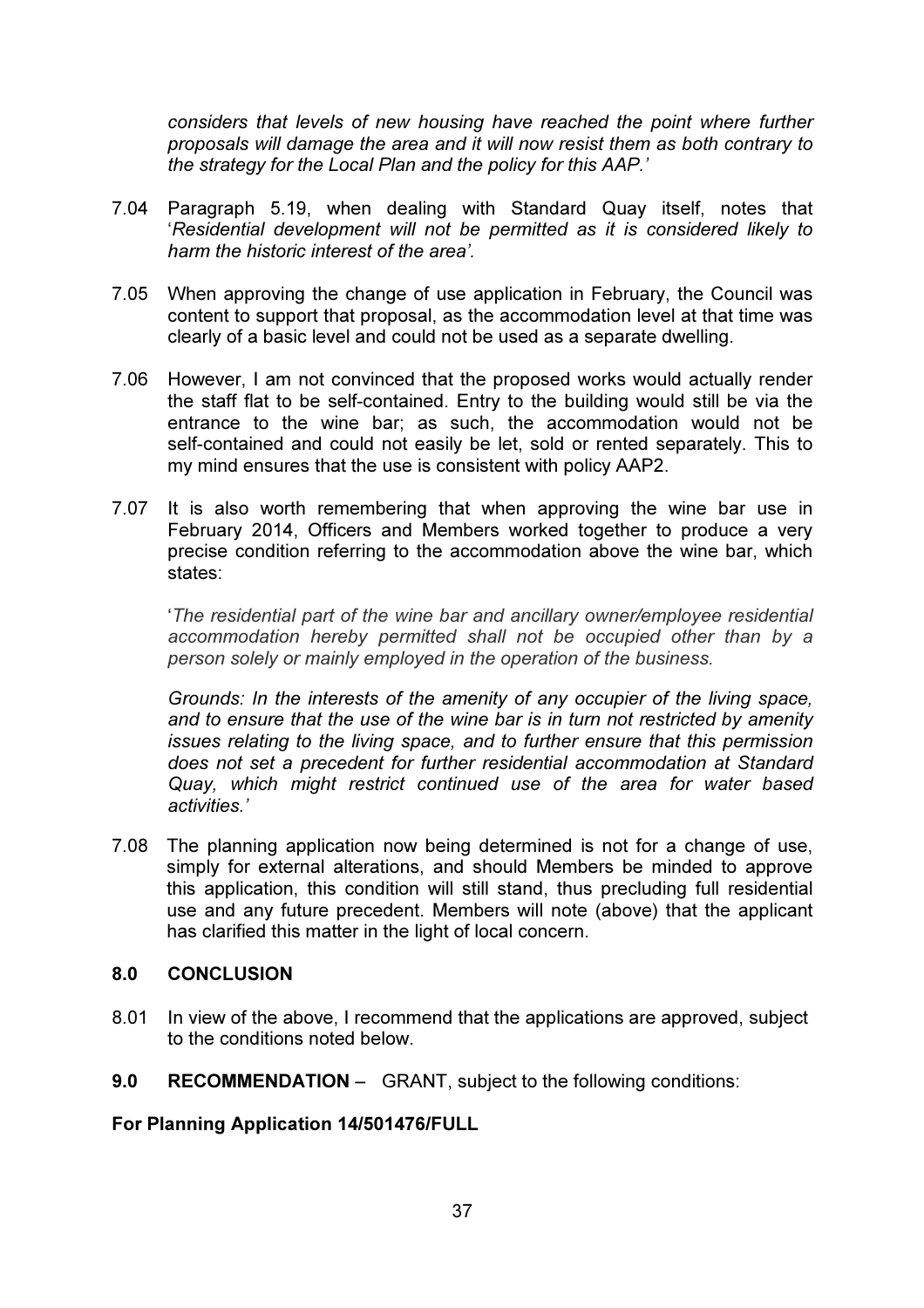*considers that levels of new housing have reached the point where further proposals will damage the area and it will now resist them as both contrary to the strategy for the Local Plan and the policy for this AAP.'* 

- 7.04 Paragraph 5.19, when dealing with Standard Quay itself, notes that '*Residential development will not be permitted as it is considered likely to harm the historic interest of the area'.*
- 7.05 When approving the change of use application in February, the Council was content to support that proposal, as the accommodation level at that time was clearly of a basic level and could not be used as a separate dwelling.
- 7.06 However, I am not convinced that the proposed works would actually render the staff flat to be self-contained. Entry to the building would still be via the entrance to the wine bar; as such, the accommodation would not be self-contained and could not easily be let, sold or rented separately. This to my mind ensures that the use is consistent with policy AAP2.
- 7.07 It is also worth remembering that when approving the wine bar use in February 2014, Officers and Members worked together to produce a very precise condition referring to the accommodation above the wine bar, which states:

'*The residential part of the wine bar and ancillary owner/employee residential accommodation hereby permitted shall not be occupied other than by a person solely or mainly employed in the operation of the business.*

*Grounds: In the interests of the amenity of any occupier of the living space, and to ensure that the use of the wine bar is in turn not restricted by amenity issues relating to the living space, and to further ensure that this permission does not set a precedent for further residential accommodation at Standard Quay, which might restrict continued use of the area for water based activities.'* 

7.08 The planning application now being determined is not for a change of use, simply for external alterations, and should Members be minded to approve this application, this condition will still stand, thus precluding full residential use and any future precedent. Members will note (above) that the applicant has clarified this matter in the light of local concern.

### 8.0 CONCLUSION

- 8.01 In view of the above, I recommend that the applications are approved, subject to the conditions noted below.
- 9.0 RECOMMENDATION GRANT, subject to the following conditions:

For Planning Application 14/501476/FULL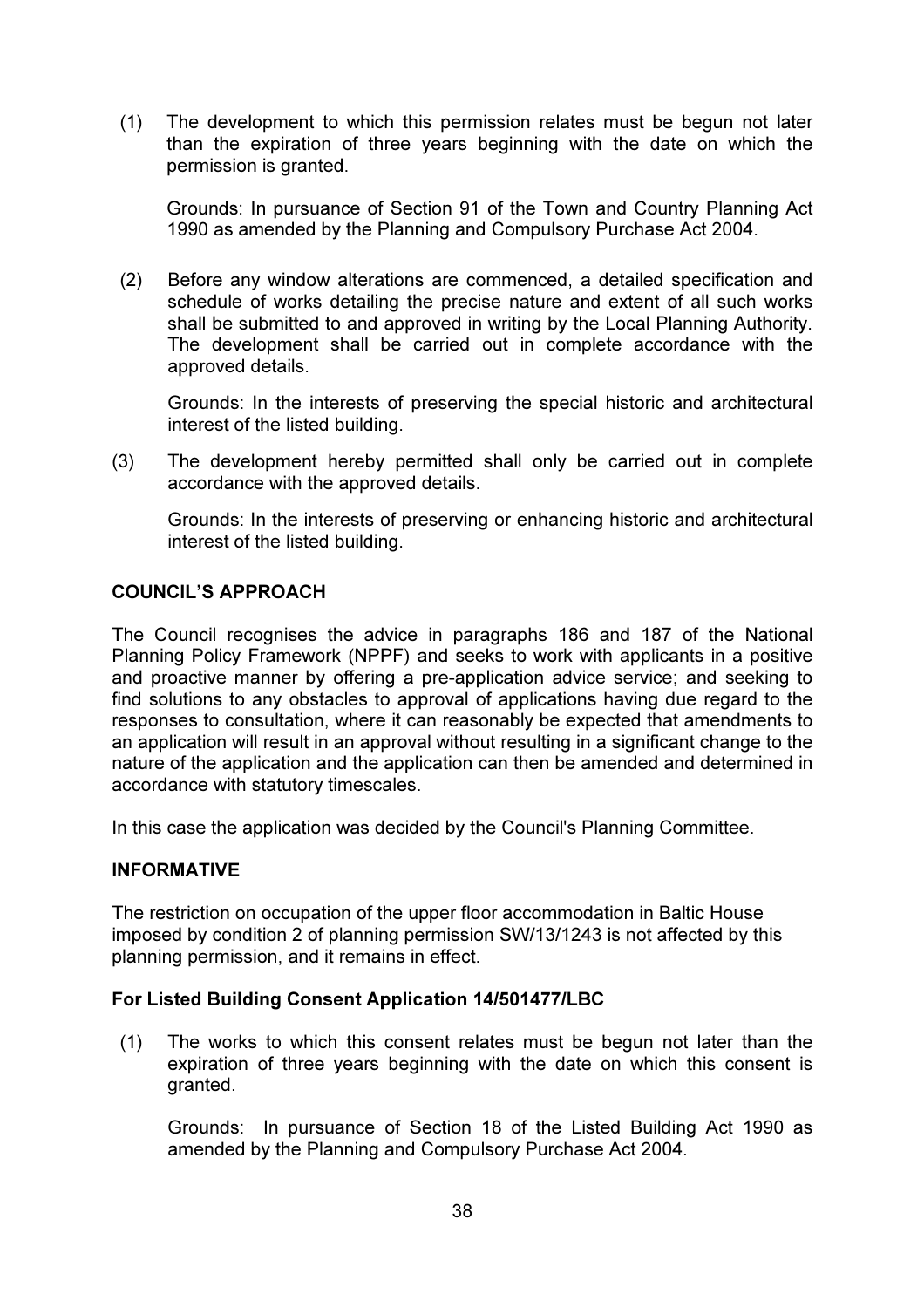(1) The development to which this permission relates must be begun not later than the expiration of three years beginning with the date on which the permission is granted.

Grounds: In pursuance of Section 91 of the Town and Country Planning Act 1990 as amended by the Planning and Compulsory Purchase Act 2004.

 (2) Before any window alterations are commenced, a detailed specification and schedule of works detailing the precise nature and extent of all such works shall be submitted to and approved in writing by the Local Planning Authority. The development shall be carried out in complete accordance with the approved details.

Grounds: In the interests of preserving the special historic and architectural interest of the listed building.

(3) The development hereby permitted shall only be carried out in complete accordance with the approved details.

Grounds: In the interests of preserving or enhancing historic and architectural interest of the listed building.

## COUNCIL'S APPROACH

The Council recognises the advice in paragraphs 186 and 187 of the National Planning Policy Framework (NPPF) and seeks to work with applicants in a positive and proactive manner by offering a pre-application advice service; and seeking to find solutions to any obstacles to approval of applications having due regard to the responses to consultation, where it can reasonably be expected that amendments to an application will result in an approval without resulting in a significant change to the nature of the application and the application can then be amended and determined in accordance with statutory timescales.

In this case the application was decided by the Council's Planning Committee.

### INFORMATIVE

The restriction on occupation of the upper floor accommodation in Baltic House imposed by condition 2 of planning permission SW/13/1243 is not affected by this planning permission, and it remains in effect.

### For Listed Building Consent Application 14/501477/LBC

 (1) The works to which this consent relates must be begun not later than the expiration of three years beginning with the date on which this consent is granted.

Grounds: In pursuance of Section 18 of the Listed Building Act 1990 as amended by the Planning and Compulsory Purchase Act 2004.